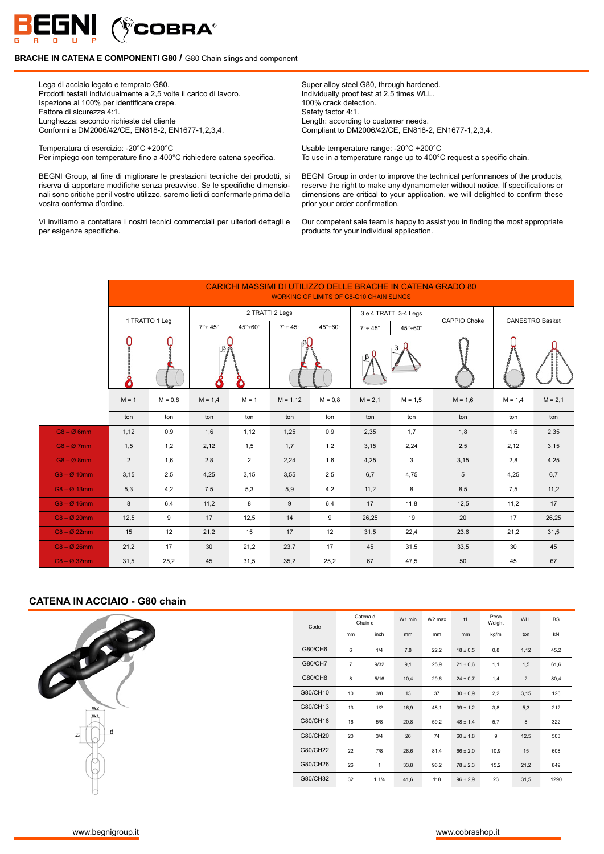

Lega di acciaio legato e temprato G80. Prodotti testati individualmente a 2,5 volte il carico di lavoro. Ispezione al 100% per identificare crepe. Fattore di sicurezza 4:1. Lunghezza: secondo richieste del cliente Conformi a DM2006/42/CE, EN818-2, EN1677-1,2,3,4.

Temperatura di esercizio: -20°C +200°C Per impiego con temperature fino a 400°C richiedere catena specifica.

BEGNI Group, al fine di migliorare le prestazioni tecniche dei prodotti, si riserva di apportare modifiche senza preavviso. Se le specifiche dimensionali sono critiche per il vostro utilizzo, saremo lieti di confermarle prima della vostra conferma d'ordine.

Vi invitiamo a contattare i nostri tecnici commerciali per ulteriori dettagli e per esigenze specifiche.

Super alloy steel G80, through hardened. Individually proof test at 2,5 times WLL. 100% crack detection. Safety factor 4:1. Length: according to customer needs. Compliant to DM2006/42/CE, EN818-2, EN1677-1,2,3,4.

Usable temperature range: -20°C +200°C To use in a temperature range up to 400°C request a specific chain.

BEGNI Group in order to improve the technical performances of the products, reserve the right to make any dynamometer without notice. If specifications or dimensions are critical to your application, we will delighted to confirm these prior your order confirmation.

Our competent sale team is happy to assist you in finding the most appropriate products for your individual application.

|                          |                |                |                         |                          |                         | <b>WORKING OF LIMITS OF G8-G10 CHAIN SLINGS</b> |                         |                          | <b>CARICHI MASSIMI DI UTILIZZO DELLE BRACHE IN CATENA GRADO 80</b> |           |                        |
|--------------------------|----------------|----------------|-------------------------|--------------------------|-------------------------|-------------------------------------------------|-------------------------|--------------------------|--------------------------------------------------------------------|-----------|------------------------|
|                          |                |                |                         |                          | 2 TRATTI 2 Legs         |                                                 |                         | 3 e 4 TRATTI 3-4 Legs    | CAPPIO Choke                                                       |           | <b>CANESTRO Basket</b> |
|                          |                | 1 TRATTO 1 Leg | $7^\circ \div 45^\circ$ | $45^\circ \div 60^\circ$ | $7^\circ \div 45^\circ$ | $45^\circ \div 60^\circ$                        | $7^\circ \div 45^\circ$ | $45^\circ \div 60^\circ$ |                                                                    |           |                        |
|                          |                |                |                         |                          |                         |                                                 |                         |                          |                                                                    |           |                        |
|                          | $M = 1$        | $M = 0.8$      | $M = 1,4$               | $M = 1$                  | $M = 1.12$              | $M = 0.8$                                       | $M = 2,1$               | $M = 1.5$                | $M = 1,6$                                                          | $M = 1,4$ | $M = 2,1$              |
|                          | ton            | ton            | ton                     | ton                      | ton                     | ton                                             | ton                     | ton                      | ton                                                                | ton       | ton                    |
| $G8 - \varnothing 6mm$   | 1,12           | 0,9            | 1,6                     | 1,12                     | 1,25                    | 0,9                                             | 2,35                    | 1,7                      | 1,8                                                                | 1,6       | 2,35                   |
| $G8 - \emptyset$ 7mm     | 1,5            | 1,2            | 2,12                    | 1,5                      | 1,7                     | 1,2                                             | 3,15                    | 2,24                     | 2,5                                                                | 2,12      | 3,15                   |
| $G8 - \emptyset 8mm$     | $\overline{2}$ | 1,6            | 2,8                     | $\overline{2}$           | 2,24                    | 1,6                                             | 4,25                    | 3                        | 3,15                                                               | 2,8       | 4,25                   |
| $G8 - \emptyset$ 10mm    | 3,15           | 2,5            | 4,25                    | 3,15                     | 3,55                    | 2,5                                             | 6,7                     | 4,75                     | $\sqrt{5}$                                                         | 4,25      | 6,7                    |
| $G8 - \emptyset$ 13mm    | 5,3            | 4,2            | 7,5                     | 5,3                      | 5,9                     | 4,2                                             | 11,2                    | 8                        | 8,5                                                                | 7,5       | 11,2                   |
| $G8 - \emptyset$ 16mm    | 8              | 6,4            | 11,2                    | 8                        | 9                       | 6,4                                             | 17                      | 11,8                     | 12,5                                                               | 11,2      | 17                     |
| $G8 - \varnothing 20$ mm | 12,5           | 9              | 17                      | 12,5                     | 14                      | 9                                               | 26,25                   | 19                       | 20                                                                 | 17        | 26,25                  |
| $G8 - \varnothing 22$ mm | 15             | 12             | 21,2                    | 15                       | 17                      | 12                                              | 31,5                    | 22,4                     | 23,6                                                               | 21,2      | 31,5                   |
| $G8 - \varnothing 26$ mm | 21,2           | 17             | 30                      | 21,2                     | 23,7                    | 17                                              | 45                      | 31,5                     | 33,5                                                               | 30        | 45                     |
| $G8 - \emptyset$ 32mm    | 31,5           | 25,2           | 45                      | 31,5                     | 35,2                    | 25,2                                            | 67                      | 47,5                     | 50                                                                 | 45        | 67                     |

#### **CATENA IN ACCIAIO - G80 chain**



| Code     |                | Catena d<br>Chain d | W1 min | W <sub>2</sub> max | t1           | Peso<br>Weight | <b>WLL</b>     | <b>BS</b> |
|----------|----------------|---------------------|--------|--------------------|--------------|----------------|----------------|-----------|
|          | mm             | inch                | mm     | mm                 | mm           | kg/m           | ton            | kN        |
| G80/CH6  | 6              | 1/4                 | 7,8    | 22,2               | $18 \pm 0.5$ | 0,8            | 1,12           | 45,2      |
| G80/CH7  | $\overline{7}$ | 9/32                | 9,1    | 25,9               | $21 \pm 0.6$ | 1,1            | 1,5            | 61,6      |
| G80/CH8  | 8              | 5/16                | 10,4   | 29,6               | $24 \pm 0.7$ | 1,4            | $\overline{2}$ | 80,4      |
| G80/CH10 | 10             | 3/8                 | 13     | 37                 | $30 \pm 0.9$ | 2,2            | 3,15           | 126       |
| G80/CH13 | 13             | 1/2                 | 16,9   | 48,1               | $39 \pm 1.2$ | 3,8            | 5,3            | 212       |
| G80/CH16 | 16             | 5/8                 | 20,8   | 59,2               | $48 \pm 1.4$ | 5,7            | 8              | 322       |
| G80/CH20 | 20             | 3/4                 | 26     | 74                 | $60 \pm 1.8$ | 9              | 12,5           | 503       |
| G80/CH22 | 22             | 7/8                 | 28,6   | 81,4               | $66 \pm 2.0$ | 10,9           | 15             | 608       |
| G80/CH26 | 26             | 1                   | 33,8   | 96,2               | $78 \pm 2.3$ | 15,2           | 21,2           | 849       |
| G80/CH32 | 32             | 11/4                | 41,6   | 118                | $96 \pm 2.9$ | 23             | 31,5           | 1290      |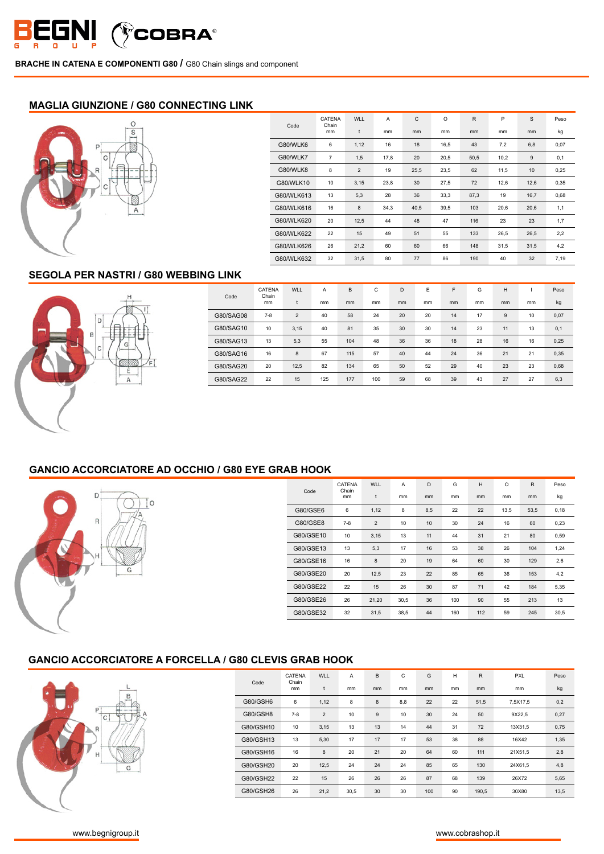

#### **MAGLIA GIUNZIONE / G80 CONNECTING LINK**



|            | CATENA<br>Chain | <b>WLL</b>     | A    | $\mathsf{C}$ | O    | $\mathsf{R}$ | P    | S     | Peso |
|------------|-----------------|----------------|------|--------------|------|--------------|------|-------|------|
| Code       | mm              | t              | mm   | mm           | mm   | mm           | mm   | mm    | kg   |
| G80/WLK6   | 6               | 1,12           | 16   | 18           | 16,5 | 43           | 7,2  | 6,8   | 0,07 |
| G80/WLK7   | $\overline{7}$  | 1,5            | 17,8 | 20           | 20,5 | 50,5         | 10,2 | $9\,$ | 0,1  |
| G80/WLK8   | 8               | $\overline{2}$ | 19   | 25,5         | 23,5 | 62           | 11,5 | 10    | 0,25 |
| G80/WLK10  | 10              | 3,15           | 23,8 | 30           | 27,5 | 72           | 12,6 | 12,6  | 0,35 |
| G80/WLK613 | 13              | 5,3            | 28   | 36           | 33,3 | 87,3         | 19   | 16,7  | 0,68 |
| G80/WLK616 | 16              | 8              | 34,3 | 40,5         | 39,5 | 103          | 20,6 | 20,6  | 1,1  |
| G80/WLK620 | 20              | 12,5           | 44   | 48           | 47   | 116          | 23   | 23    | 1,7  |
| G80/WLK622 | 22              | 15             | 49   | 51           | 55   | 133          | 26,5 | 26,5  | 2,2  |
| G80/WLK626 | 26              | 21,2           | 60   | 60           | 66   | 148          | 31,5 | 31,5  | 4.2  |
| G80/WLK632 | 32              | 31,5           | 80   | 77           | 86   | 190          | 40   | 32    | 7,19 |

## **SEGOLA PER NASTRI / G80 WEBBING LINK**



| Code      | CATENA<br>Chain<br>mm | WLL            | Α<br>mm | B<br>mm | C<br>mm | D<br><sub>mm</sub> | E<br>mm | F<br>mm | G<br>mm | н<br>mm | mm | Peso<br>kg |
|-----------|-----------------------|----------------|---------|---------|---------|--------------------|---------|---------|---------|---------|----|------------|
| G80/SAG08 | $7-8$                 | $\overline{2}$ | 40      | 58      | 24      | 20                 | 20      | 14      | 17      | 9       | 10 | 0,07       |
| G80/SAG10 | 10                    | 3,15           | 40      | 81      | 35      | 30                 | 30      | 14      | 23      | 11      | 13 | 0,1        |
| G80/SAG13 | 13                    | 5,3            | 55      | 104     | 48      | 36                 | 36      | 18      | 28      | 16      | 16 | 0,25       |
| G80/SAG16 | 16                    | 8              | 67      | 115     | 57      | 40                 | 44      | 24      | 36      | 21      | 21 | 0,35       |
| G80/SAG20 | 20                    | 12,5           | 82      | 134     | 65      | 50                 | 52      | 29      | 40      | 23      | 23 | 0,68       |
| G80/SAG22 | 22                    | 15             | 125     | 177     | 100     | 59                 | 68      | 39      | 43      | 27      | 27 | 6,3        |

### **GANCIO ACCORCIATORE AD OCCHIO / G80 EYE GRAB HOOK**



|           | CATENA      | <b>WLL</b>     | A    | D   | G   | H   | $\Omega$ | $\mathsf{R}$ | Peso |
|-----------|-------------|----------------|------|-----|-----|-----|----------|--------------|------|
| Code      | Chain<br>mm | t              | mm   | mm  | mm  | mm  | mm       | mm           | kg   |
| G80/GSE6  | 6           | 1,12           | 8    | 8,5 | 22  | 22  | 13,5     | 53,5         | 0,18 |
| G80/GSE8  | $7-8$       | $\overline{2}$ | 10   | 10  | 30  | 24  | 16       | 60           | 0,23 |
| G80/GSE10 | 10          | 3,15           | 13   | 11  | 44  | 31  | 21       | 80           | 0,59 |
| G80/GSE13 | 13          | 5,3            | 17   | 16  | 53  | 38  | 26       | 104          | 1,24 |
| G80/GSE16 | 16          | 8              | 20   | 19  | 64  | 60  | 30       | 129          | 2,6  |
| G80/GSE20 | 20          | 12,5           | 23   | 22  | 85  | 65  | 36       | 153          | 4,2  |
| G80/GSE22 | 22          | 15             | 26   | 30  | 87  | 71  | 42       | 184          | 5,35 |
| G80/GSE26 | 26          | 21,20          | 30,5 | 36  | 100 | 90  | 55       | 213          | 13   |
| G80/GSE32 | 32          | 31,5           | 38,5 | 44  | 160 | 112 | 59       | 245          | 30,5 |

## **GANCIO ACCORCIATORE A FORCELLA / G80 CLEVIS GRAB HOOK**



|           | CATENA<br>Chain | <b>WLL</b>     | A    | B  | C             | G   | H  | R     | <b>PXL</b> | Peso |
|-----------|-----------------|----------------|------|----|---------------|-----|----|-------|------------|------|
| Code      | mm              | t              | mm   | mm | <sub>mm</sub> | mm  | mm | mm    | mm         | kg   |
| G80/GSH6  | 6               | 1,12           | 8    | 8  | 8,8           | 22  | 22 | 51,5  | 7.5X17.5   | 0,2  |
| G80/GSH8  | $7 - 8$         | $\overline{2}$ | 10   | 9  | 10            | 30  | 24 | 50    | 9X22,5     | 0,27 |
| G80/GSH10 | 10              | 3,15           | 13   | 13 | 14            | 44  | 31 | 72    | 13X31,5    | 0,75 |
| G80/GSH13 | 13              | 5,30           | 17   | 17 | 17            | 53  | 38 | 88    | 16X42      | 1,35 |
| G80/GSH16 | 16              | 8              | 20   | 21 | 20            | 64  | 60 | 111   | 21X51,5    | 2,8  |
| G80/GSH20 | 20              | 12,5           | 24   | 24 | 24            | 85  | 65 | 130   | 24X61.5    | 4,8  |
| G80/GSH22 | 22              | 15             | 26   | 26 | 26            | 87  | 68 | 139   | 26X72      | 5,65 |
| G80/GSH26 | 26              | 21,2           | 30,5 | 30 | 30            | 100 | 90 | 190,5 | 30X80      | 13,5 |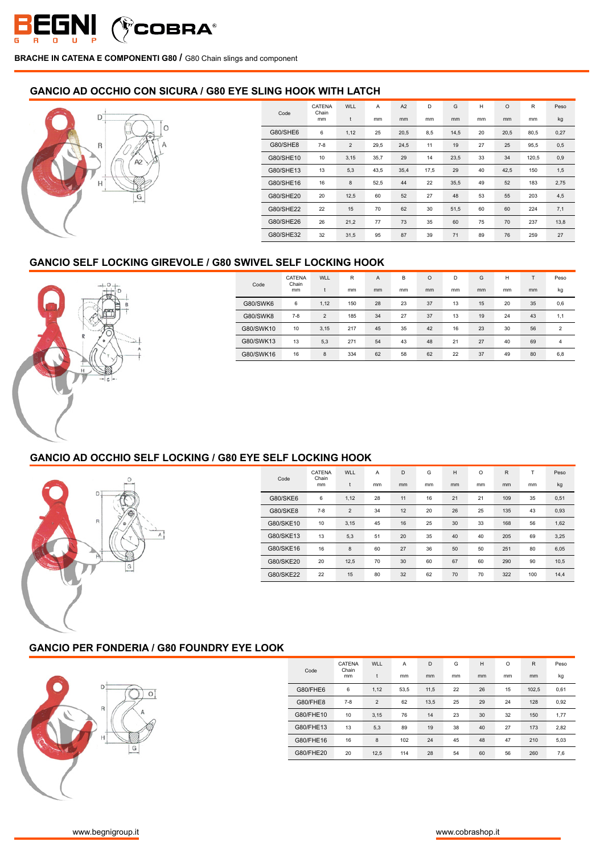

### **GANCIO AD OCCHIO CON SICURA / G80 EYE SLING HOOK WITH LATCH**



|           | CATENA      | <b>WLL</b>     | A    | A2   | D    | G    | H  | $\circ$ | R     | Peso |
|-----------|-------------|----------------|------|------|------|------|----|---------|-------|------|
| Code      | Chain<br>mm | t              | mm   | mm   | mm   | mm   | mm | mm      | mm    | kg   |
| G80/SHE6  | 6           | 1,12           | 25   | 20,5 | 8,5  | 14,5 | 20 | 20,5    | 80,5  | 0,27 |
| G80/SHE8  | $7-8$       | $\overline{2}$ | 29,5 | 24,5 | 11   | 19   | 27 | 25      | 95,5  | 0,5  |
| G80/SHE10 | 10          | 3,15           | 35,7 | 29   | 14   | 23,5 | 33 | 34      | 120,5 | 0,9  |
| G80/SHE13 | 13          | 5,3            | 43,5 | 35,4 | 17,5 | 29   | 40 | 42,5    | 150   | 1,5  |
| G80/SHE16 | 16          | 8              | 52,5 | 44   | 22   | 35,5 | 49 | 52      | 183   | 2,75 |
| G80/SHE20 | 20          | 12,5           | 60   | 52   | 27   | 48   | 53 | 55      | 203   | 4,5  |
| G80/SHE22 | 22          | 15             | 70   | 62   | 30   | 51,5 | 60 | 60      | 224   | 7,1  |
| G80/SHE26 | 26          | 21,2           | 77   | 73   | 35   | 60   | 75 | 70      | 237   | 13,8 |
| G80/SHE32 | 32          | 31,5           | 95   | 87   | 39   | 71   | 89 | 76      | 259   | 27   |

# **GANCIO SELF LOCKING GIREVOLE / G80 SWIVEL SELF LOCKING HOOK**



| Code      | CATENA<br>Chain | WLL            | R   | A  | B  | $\circ$ | D  | G  | Н  |               | Peso           |
|-----------|-----------------|----------------|-----|----|----|---------|----|----|----|---------------|----------------|
|           | mm              | t              | mm  | mm | mm | mm      | mm | mm | mm | <sub>mm</sub> | kg             |
| G80/SWK6  | 6               | 1,12           | 150 | 28 | 23 | 37      | 13 | 15 | 20 | 35            | 0,6            |
| G80/SWK8  | $7 - 8$         | $\overline{2}$ | 185 | 34 | 27 | 37      | 13 | 19 | 24 | 43            | 1,1            |
| G80/SWK10 | 10              | 3,15           | 217 | 45 | 35 | 42      | 16 | 23 | 30 | 56            | $\mathfrak{p}$ |
| G80/SWK13 | 13              | 5,3            | 271 | 54 | 43 | 48      | 21 | 27 | 40 | 69            | 4              |
| G80/SWK16 | 16              | 8              | 334 | 62 | 58 | 62      | 22 | 37 | 49 | 80            | 6,8            |

# **GANCIO AD OCCHIO SELF LOCKING / G80 EYE SELF LOCKING HOOK**



| Code            | <b>CATENA</b><br>Chain<br>mm | <b>WLL</b><br>t | A<br>mm | D<br>mm | G<br>mm | H<br>mm | O<br>mm | R<br>mm | т<br>mm | Peso<br>kg |
|-----------------|------------------------------|-----------------|---------|---------|---------|---------|---------|---------|---------|------------|
| <b>G80/SKE6</b> | 6                            | 1,12            | 28      | 11      | 16      | 21      | 21      | 109     | 35      | 0,51       |
| <b>G80/SKE8</b> | $7 - 8$                      | $\overline{2}$  | 34      | 12      | 20      | 26      | 25      | 135     | 43      | 0,93       |
| G80/SKE10       | 10                           | 3,15            | 45      | 16      | 25      | 30      | 33      | 168     | 56      | 1,62       |
| G80/SKE13       | 13                           | 5,3             | 51      | 20      | 35      | 40      | 40      | 205     | 69      | 3,25       |
| G80/SKE16       | 16                           | 8               | 60      | 27      | 36      | 50      | 50      | 251     | 80      | 6,05       |
| G80/SKE20       | 20                           | 12,5            | 70      | 30      | 60      | 67      | 60      | 290     | 90      | 10,5       |
| G80/SKE22       | 22                           | 15              | 80      | 32      | 62      | 70      | 70      | 322     | 100     | 14.4       |

### **GANCIO PER FONDERIA / G80 FOUNDRY EYE LOOK**



|           | CATENA<br>Chain | <b>WLL</b>     | A    | D    | G  | H  | $\circ$ | R     | Peso |
|-----------|-----------------|----------------|------|------|----|----|---------|-------|------|
| Code      | mm              | t              | mm   | mm   | mm | mm | mm      | mm    | kg   |
| G80/FHE6  | 6               | 1,12           | 53.5 | 11,5 | 22 | 26 | 15      | 102.5 | 0.61 |
| G80/FHE8  | $7 - 8$         | $\overline{2}$ | 62   | 13,5 | 25 | 29 | 24      | 128   | 0,92 |
| G80/FHE10 | 10              | 3,15           | 76   | 14   | 23 | 30 | 32      | 150   | 1.77 |
| G80/FHE13 | 13              | 5,3            | 89   | 19   | 38 | 40 | 27      | 173   | 2,82 |
| G80/FHE16 | 16              | 8              | 102  | 24   | 45 | 48 | 47      | 210   | 5,03 |
| G80/FHE20 | 20              | 12,5           | 114  | 28   | 54 | 60 | 56      | 260   | 7,6  |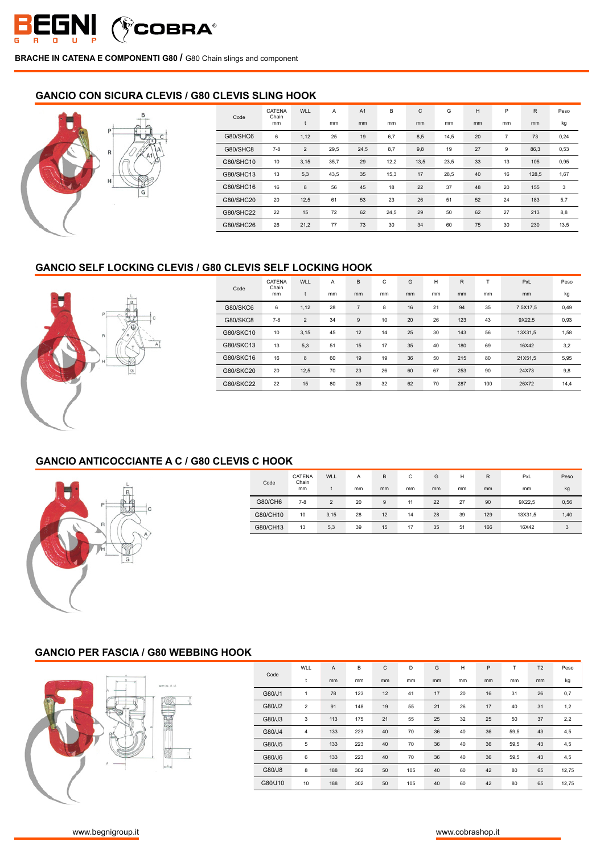

### **GANCIO CON SICURA CLEVIS / G80 CLEVIS SLING HOOK**

| $B_{+}$<br>E       | Code      | CATENA<br>Chain<br>mm | WLL            | Α<br>mm | A <sub>1</sub><br>mm | В<br>mm | $\mathsf C$<br>mm | G<br>mm | н<br>mm | P<br>mm        | $\mathsf{R}$<br>mm | Peso<br>kg |
|--------------------|-----------|-----------------------|----------------|---------|----------------------|---------|-------------------|---------|---------|----------------|--------------------|------------|
| Ð                  | G80/SHC6  | 6                     | 1,12           | 25      | 19                   | 6,7     | 8,5               | 14,5    | 20      | $\overline{7}$ | 73                 | 0,24       |
| $\mathsf{R}$<br>A1 | G80/SHC8  | $7 - 8$               | $\overline{2}$ | 29,5    | 24,5                 | 8,7     | 9,8               | 19      | 27      | 9              | 86,3               | 0,53       |
|                    | G80/SHC10 | 10                    | 3,15           | 35,7    | 29                   | 12,2    | 13,5              | 23,5    | 33      | 13             | 105                | 0,95       |
| H                  | G80/SHC13 | 13                    | 5,3            | 43,5    | 35                   | 15,3    | 17                | 28,5    | 40      | 16             | 128,5              | 1,67       |
| G                  | G80/SHC16 | 16                    | 8              | 56      | 45                   | 18      | 22                | 37      | 48      | 20             | 155                | 3          |
|                    | G80/SHC20 | 20                    | 12,5           | 61      | 53                   | 23      | 26                | 51      | 52      | 24             | 183                | 5,7        |
|                    | G80/SHC22 | 22                    | 15             | 72      | 62                   | 24,5    | 29                | 50      | 62      | 27             | 213                | 8,8        |
|                    | G80/SHC26 | 26                    | 21,2           | 77      | 73                   | 30      | 34                | 60      | 75      | 30             | 230                | 13,5       |

#### **GANCIO SELF LOCKING CLEVIS / G80 CLEVIS SELF LOCKING HOOK**



| Code            | CATENA<br>Chain<br>mm | WLL.<br>t      | Α<br>mm | в<br>mm        | С<br>mm | G<br>mm | н<br>mm | R<br>mm | mm  | PxL<br><sub>mm</sub> | Peso<br>kg |
|-----------------|-----------------------|----------------|---------|----------------|---------|---------|---------|---------|-----|----------------------|------------|
| G80/SKC6        | 6                     | 1,12           | 28      | $\overline{7}$ | 8       | 16      | 21      | 94      | 35  | 7.5X17.5             | 0,49       |
| <b>G80/SKC8</b> | $7-8$                 | $\overline{2}$ | 34      | 9              | 10      | 20      | 26      | 123     | 43  | 9X22.5               | 0,93       |
| G80/SKC10       | 10                    | 3,15           | 45      | 12             | 14      | 25      | 30      | 143     | 56  | 13X31,5              | 1,58       |
| G80/SKC13       | 13                    | 5,3            | 51      | 15             | 17      | 35      | 40      | 180     | 69  | 16X42                | 3,2        |
| G80/SKC16       | 16                    | 8              | 60      | 19             | 19      | 36      | 50      | 215     | 80  | 21X51.5              | 5,95       |
| G80/SKC20       | 20                    | 12,5           | 70      | 23             | 26      | 60      | 67      | 253     | 90  | 24X73                | 9,8        |
| G80/SKC22       | 22                    | 15             | 80      | 26             | 32      | 62      | 70      | 287     | 100 | 26X72                | 14,4       |

# **GANCIO ANTICOCCIANTE A C / G80 CLEVIS C HOOK**



| Code     | CATENA<br>Chain | WLL            | Α  | B  | С  | G  | н  | R   | PxL     | Peso |
|----------|-----------------|----------------|----|----|----|----|----|-----|---------|------|
|          | mm              |                | mm | mm | mm | mm | mm | mm  | mm      | kg   |
| G80/CH6  | $7-8$           | $\overline{2}$ | 20 | 9  | 11 | 22 | 27 | 90  | 9X22,5  | 0,56 |
| G80/CH10 | 10              | 3,15           | 28 | 12 | 14 | 28 | 39 | 129 | 13X31,5 | 1,40 |
| G80/CH13 | 13              | 5,3            | 39 | 15 | 17 | 35 | 51 | 166 | 16X42   | 3    |

# **GANCIO PER FASCIA / G80 WEBBING HOOK**



|         | WLL                     | $\overline{A}$ | B   | C  | D   | G  | H  | P  | T    | T <sub>2</sub> | Peso  |
|---------|-------------------------|----------------|-----|----|-----|----|----|----|------|----------------|-------|
| Code    | t                       | mm             | mm  | mm | mm  | mm | mm | mm | mm   | mm             | kg    |
| G80/J1  | 1                       | 78             | 123 | 12 | 41  | 17 | 20 | 16 | 31   | 26             | 0,7   |
| G80/J2  | $\overline{\mathbf{c}}$ | 91             | 148 | 19 | 55  | 21 | 26 | 17 | 40   | 31             | 1,2   |
| G80/J3  | 3                       | 113            | 175 | 21 | 55  | 25 | 32 | 25 | 50   | 37             | 2,2   |
| G80/J4  | 4                       | 133            | 223 | 40 | 70  | 36 | 40 | 36 | 59,5 | 43             | 4,5   |
| G80/J5  | 5                       | 133            | 223 | 40 | 70  | 36 | 40 | 36 | 59,5 | 43             | 4,5   |
| G80/J6  | 6                       | 133            | 223 | 40 | 70  | 36 | 40 | 36 | 59,5 | 43             | 4,5   |
| G80/J8  | 8                       | 188            | 302 | 50 | 105 | 40 | 60 | 42 | 80   | 65             | 12,75 |
| G80/J10 | 10                      | 188            | 302 | 50 | 105 | 40 | 60 | 42 | 80   | 65             | 12,75 |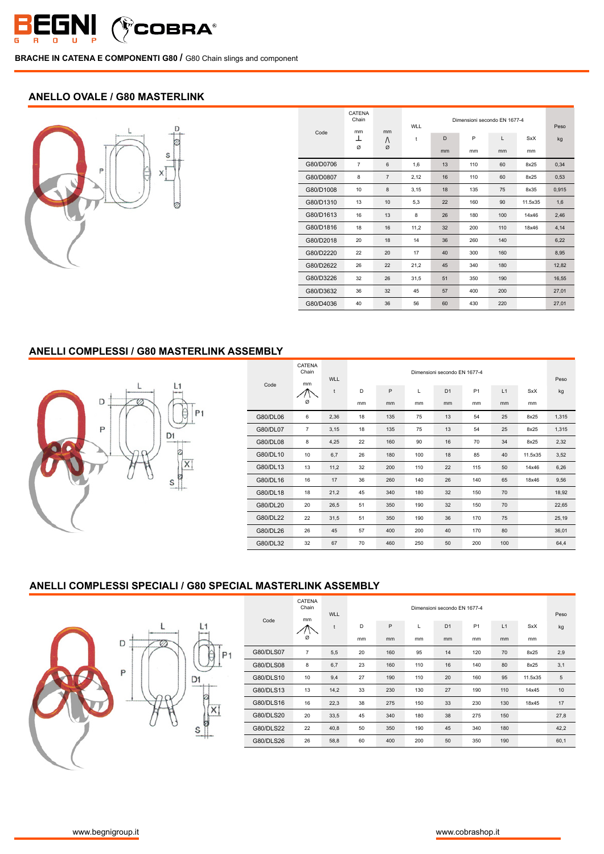

## **ANELLO OVALE / G80 MASTERLINK**



| Code      | CATENA<br>Chain<br>mm | mm             | <b>WLL</b> | Dimensioni secondo EN 1677-4 | Peso |     |            |       |
|-----------|-----------------------|----------------|------------|------------------------------|------|-----|------------|-------|
|           | ⊥                     | Λ              | t          | D                            | P    | L   | <b>SxX</b> | kg    |
|           | Ø                     | Ø              |            | mm                           | mm   | mm  | mm         |       |
| G80/D0706 | $\overline{7}$        | 6              | 1,6        | 13                           | 110  | 60  | 8x25       | 0,34  |
| G80/D0807 | 8                     | $\overline{7}$ | 2,12       | 16                           | 110  | 60  | 8x25       | 0,53  |
| G80/D1008 | 10                    | 8              | 3.15       | 18                           | 135  | 75  | 8x35       | 0.915 |
| G80/D1310 | 13                    | 10             | 5,3        | 22                           | 160  | 90  | 11.5x35    | 1,6   |
| G80/D1613 | 16                    | 13             | 8          | 26                           | 180  | 100 | 14x46      | 2,46  |
| G80/D1816 | 18                    | 16             | 11,2       | 32                           | 200  | 110 | 18x46      | 4,14  |
| G80/D2018 | 20                    | 18             | 14         | 36                           | 260  | 140 |            | 6,22  |
| G80/D2220 | 22                    | 20             | 17         | 40                           | 300  | 160 |            | 8,95  |
| G80/D2622 | 26                    | 22             | 21,2       | 45                           | 340  | 180 |            | 12,82 |
| G80/D3226 | 32                    | 26             | 31,5       | 51                           | 350  | 190 |            | 16,55 |
| G80/D3632 | 36                    | 32             | 45         | 57                           | 400  | 200 |            | 27,01 |
| G80/D4036 | 40                    | 36             | 56         | 60                           | 430  | 220 |            | 27.01 |

## **ANELLI COMPLESSI / G80 MASTERLINK ASSEMBLY**



|          | CATENA<br>Chain | <b>WLL</b> | Dimensioni secondo FN 1677-4 |     |     |                |                |     |               |       |
|----------|-----------------|------------|------------------------------|-----|-----|----------------|----------------|-----|---------------|-------|
| Code     | mm              | t          | D                            | P   | L   | D <sub>1</sub> | P <sub>1</sub> | L1  | <b>SxX</b>    | kg    |
|          | Ø               |            | mm                           | mm  | mm  | mm             | mm             | mm  | <sub>mm</sub> |       |
| G80/DL06 | 6               | 2,36       | 18                           | 135 | 75  | 13             | 54             | 25  | 8x25          | 1,315 |
| G80/DL07 | $\overline{7}$  | 3,15       | 18                           | 135 | 75  | 13             | 54             | 25  | 8x25          | 1,315 |
| G80/DL08 | 8               | 4,25       | 22                           | 160 | 90  | 16             | 70             | 34  | 8x25          | 2,32  |
| G80/DL10 | 10              | 6,7        | 26                           | 180 | 100 | 18             | 85             | 40  | 11.5x35       | 3,52  |
| G80/DL13 | 13              | 11,2       | 32                           | 200 | 110 | 22             | 115            | 50  | 14x46         | 6,26  |
| G80/DL16 | 16              | 17         | 36                           | 260 | 140 | 26             | 140            | 65  | 18x46         | 9,56  |
| G80/DL18 | 18              | 21,2       | 45                           | 340 | 180 | 32             | 150            | 70  |               | 18,92 |
| G80/DL20 | 20              | 26,5       | 51                           | 350 | 190 | 32             | 150            | 70  |               | 22,65 |
| G80/DL22 | 22              | 31,5       | 51                           | 350 | 190 | 36             | 170            | 75  |               | 25,19 |
| G80/DL26 | 26              | 45         | 57                           | 400 | 200 | 40             | 170            | 80  |               | 36,01 |
| G80/DL32 | 32              | 67         | 70                           | 460 | 250 | 50             | 200            | 100 |               | 64,4  |

#### **ANELLI COMPLESSI SPECIALI / G80 SPECIAL MASTERLINK ASSEMBLY**



|           | <b>CATENA</b><br>Chain<br>mm | <b>WLL</b> |    |     |     | Dimensioni secondo FN 1677-4 |           |     |               | Peso |
|-----------|------------------------------|------------|----|-----|-----|------------------------------|-----------|-----|---------------|------|
| Code      |                              | t          | D  | P   | L   | D <sub>1</sub>               | <b>P1</b> | L1  | <b>SxX</b>    | kg   |
|           | Ø                            |            | mm | mm  | mm  | mm                           | mm        | mm  | <sub>mm</sub> |      |
| G80/DLS07 | $\overline{7}$               | 5,5        | 20 | 160 | 95  | 14                           | 120       | 70  | 8x25          | 2,9  |
| G80/DLS08 | 8                            | 6,7        | 23 | 160 | 110 | 16                           | 140       | 80  | 8x25          | 3,1  |
| G80/DLS10 | 10                           | 9,4        | 27 | 190 | 110 | 20                           | 160       | 95  | 11.5x35       | 5    |
| G80/DLS13 | 13                           | 14,2       | 33 | 230 | 130 | 27                           | 190       | 110 | 14x45         | 10   |
| G80/DLS16 | 16                           | 22,3       | 38 | 275 | 150 | 33                           | 230       | 130 | 18x45         | 17   |
| G80/DLS20 | 20                           | 33,5       | 45 | 340 | 180 | 38                           | 275       | 150 |               | 27,8 |
| G80/DLS22 | 22                           | 40,8       | 50 | 350 | 190 | 45                           | 340       | 180 |               | 42,2 |
| G80/DLS26 | 26                           | 58,8       | 60 | 400 | 200 | 50                           | 350       | 190 |               | 60,1 |